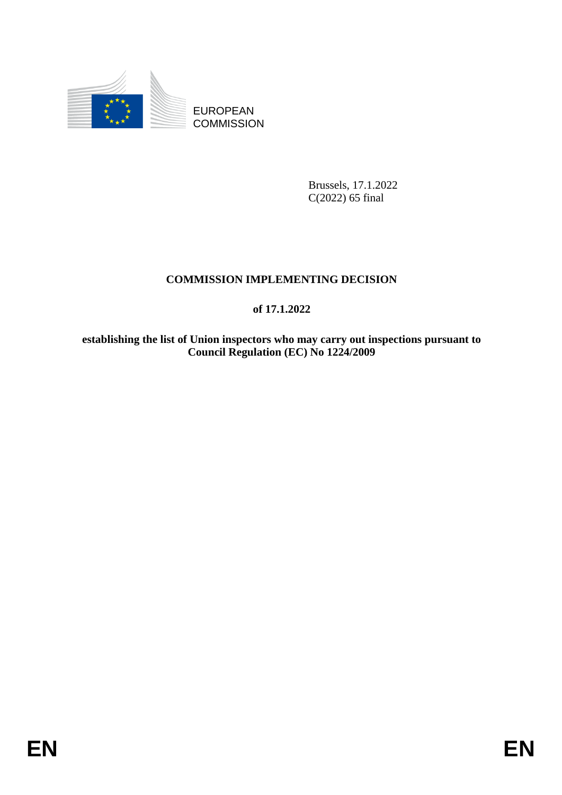

EUROPEAN **COMMISSION** 

> Brussels, 17.1.2022 C(2022) 65 final

# **COMMISSION IMPLEMENTING DECISION**

**of 17.1.2022**

**establishing the list of Union inspectors who may carry out inspections pursuant to Council Regulation (EC) No 1224/2009**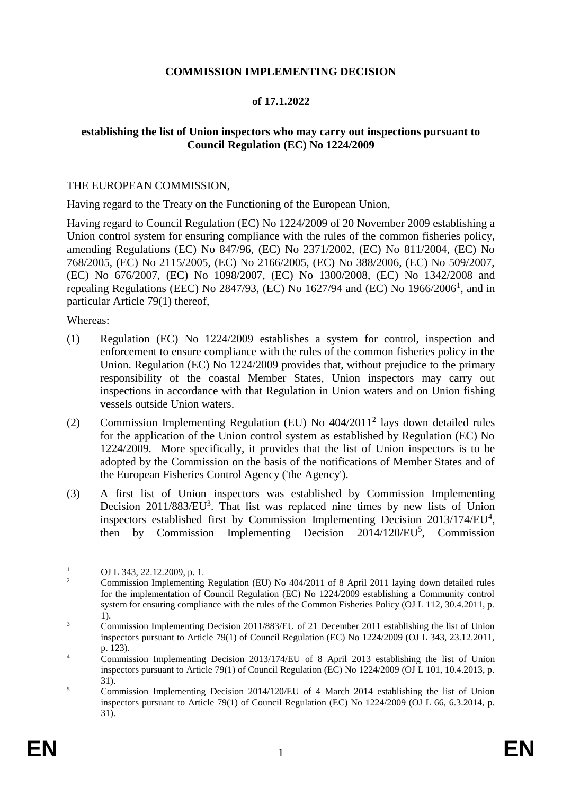## **COMMISSION IMPLEMENTING DECISION**

## **of 17.1.2022**

## **establishing the list of Union inspectors who may carry out inspections pursuant to Council Regulation (EC) No 1224/2009**

#### THE EUROPEAN COMMISSION,

Having regard to the Treaty on the Functioning of the European Union,

Having regard to Council Regulation (EC) No 1224/2009 of 20 November 2009 establishing a Union control system for ensuring compliance with the rules of the common fisheries policy, amending Regulations (EC) No 847/96, (EC) No 2371/2002, (EC) No 811/2004, (EC) No 768/2005, (EC) No 2115/2005, (EC) No 2166/2005, (EC) No 388/2006, (EC) No 509/2007, (EC) No 676/2007, (EC) No 1098/2007, (EC) No 1300/2008, (EC) No 1342/2008 and repealing Regulations (EEC) No 2847/93, (EC) No 1627/94 and (EC) No 1966/2006<sup>1</sup>, and in particular Article 79(1) thereof,

Whereas:

- (1) Regulation (EC) No 1224/2009 establishes a system for control, inspection and enforcement to ensure compliance with the rules of the common fisheries policy in the Union. Regulation (EC) No 1224/2009 provides that, without prejudice to the primary responsibility of the coastal Member States, Union inspectors may carry out inspections in accordance with that Regulation in Union waters and on Union fishing vessels outside Union waters.
- (2) Commission Implementing Regulation (EU) No 404/2011<sup>2</sup> lays down detailed rules for the application of the Union control system as established by Regulation (EC) No 1224/2009. More specifically, it provides that the list of Union inspectors is to be adopted by the Commission on the basis of the notifications of Member States and of the European Fisheries Control Agency ('the Agency').
- (3) A first list of Union inspectors was established by Commission Implementing Decision  $2011/883/EU^3$ . That list was replaced nine times by new lists of Union inspectors established first by Commission Implementing Decision  $2013/174/EU<sup>4</sup>$ , then by Commission Implementing Decision 2014/120/EU<sup>5</sup>, Commission

<sup>&</sup>lt;u>.</u>  $\frac{1}{2}$  OJ L 343, 22.12.2009, p. 1.

<sup>2</sup> Commission Implementing Regulation (EU) No 404/2011 of 8 April 2011 laying down detailed rules for the implementation of Council Regulation (EC) No 1224/2009 establishing a Community control system for ensuring compliance with the rules of the Common Fisheries Policy (OJ L 112, 30.4.2011, p. 1).

<sup>&</sup>lt;sup>3</sup> Commission Implementing Decision 2011/883/EU of 21 December 2011 establishing the list of Union inspectors pursuant to Article 79(1) of Council Regulation (EC) No 1224/2009 (OJ L 343, 23.12.2011, p. 123).

<sup>&</sup>lt;sup>4</sup> Commission Implementing Decision 2013/174/EU of 8 April 2013 establishing the list of Union inspectors pursuant to Article 79(1) of Council Regulation (EC) No 1224/2009 (OJ L 101, 10.4.2013, p. 31).

<sup>&</sup>lt;sup>5</sup> Commission Implementing Decision 2014/120/EU of 4 March 2014 establishing the list of Union inspectors pursuant to Article 79(1) of Council Regulation (EC) No 1224/2009 (OJ L 66, 6.3.2014, p. 31).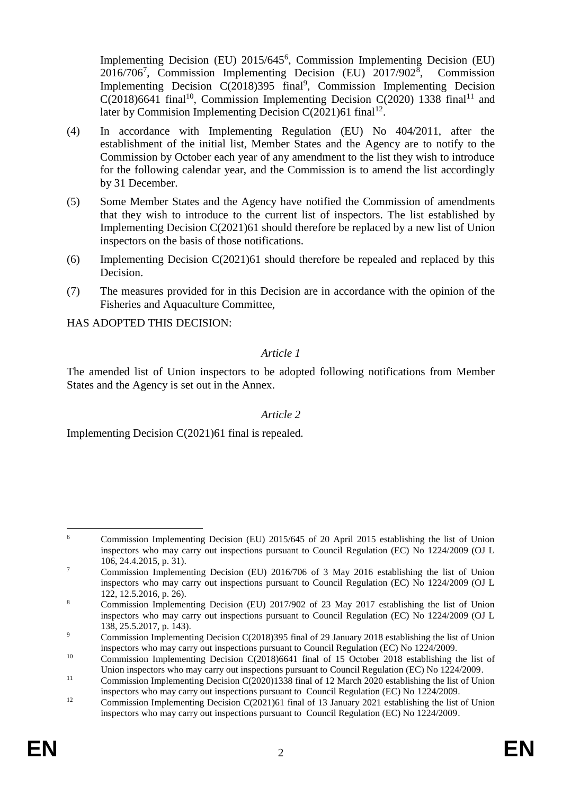Implementing Decision (EU) 2015/645<sup>6</sup>, Commission Implementing Decision (EU) 2016/706<sup>7</sup> , Commission Implementing Decision (EU) 2017/902<sup>8</sup> , Commission Implementing Decision C(2018)395 final<sup>9</sup>, Commission Implementing Decision  $C(2018)6641$  final<sup>10</sup>, Commission Implementing Decision  $C(2020)$  1338 final<sup>11</sup> and later by Commision Implementing Decision  $C(2021)$ 61 final<sup>12</sup>.

- (4) In accordance with Implementing Regulation (EU) No 404/2011, after the establishment of the initial list, Member States and the Agency are to notify to the Commission by October each year of any amendment to the list they wish to introduce for the following calendar year, and the Commission is to amend the list accordingly by 31 December.
- (5) Some Member States and the Agency have notified the Commission of amendments that they wish to introduce to the current list of inspectors. The list established by Implementing Decision C(2021)61 should therefore be replaced by a new list of Union inspectors on the basis of those notifications.
- (6) Implementing Decision C(2021)61 should therefore be repealed and replaced by this Decision.
- (7) The measures provided for in this Decision are in accordance with the opinion of the Fisheries and Aquaculture Committee,

HAS ADOPTED THIS DECISION:

## *Article 1*

The amended list of Union inspectors to be adopted following notifications from Member States and the Agency is set out in the Annex.

### *Article 2*

Implementing Decision C(2021)61 final is repealed.

<u>.</u>

<sup>&</sup>lt;sup>6</sup> Commission Implementing Decision (EU) 2015/645 of 20 April 2015 establishing the list of Union inspectors who may carry out inspections pursuant to Council Regulation (EC) No 1224/2009 (OJ L 106, 24.4.2015, p. 31).

<sup>&</sup>lt;sup>7</sup> Commission Implementing Decision (EU) 2016/706 of 3 May 2016 establishing the list of Union inspectors who may carry out inspections pursuant to Council Regulation (EC) No 1224/2009 (OJ L 122, 12.5.2016, p. 26).

<sup>8</sup> Commission Implementing Decision (EU) 2017/902 of 23 May 2017 establishing the list of Union inspectors who may carry out inspections pursuant to Council Regulation (EC) No 1224/2009 (OJ L 138, 25.5.2017, p. 143).

<sup>&</sup>lt;sup>9</sup> Commission Implementing Decision C(2018)395 final of 29 January 2018 establishing the list of Union inspectors who may carry out inspections pursuant to Council Regulation (EC) No 1224/2009.

<sup>&</sup>lt;sup>10</sup> Commission Implementing Decision C(2018)6641 final of 15 October 2018 establishing the list of Union inspectors who may carry out inspections pursuant to Council Regulation (EC) No 1224/2009.

<sup>&</sup>lt;sup>11</sup> Commission Implementing Decision C(2020)1338 final of 12 March 2020 establishing the list of Union inspectors who may carry out inspections pursuant to Council Regulation (EC) No 1224/2009.

<sup>&</sup>lt;sup>12</sup> Commission Implementing Decision C(2021)61 final of 13 January 2021 establishing the list of Union inspectors who may carry out inspections pursuant to Council Regulation (EC) No 1224/2009.